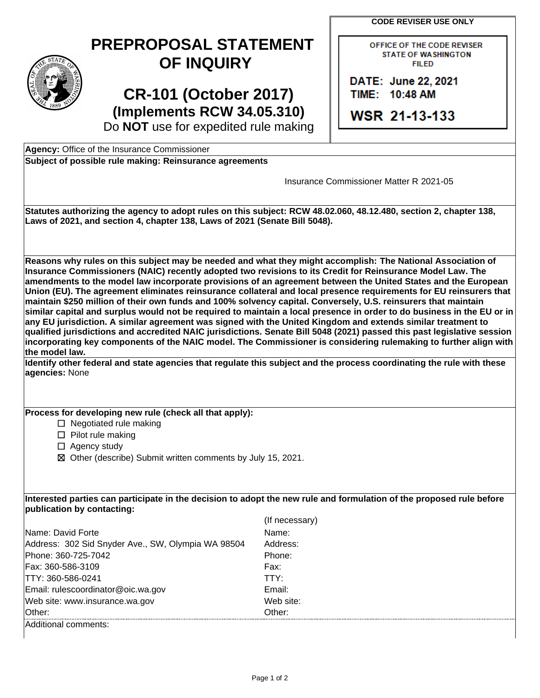**CODE REVISER USE ONLY** 



## **PREPROPOSAL STATEMENT OF INQUIRY**

**CR-101 (October 2017) (Implements RCW 34.05.310)**  Do **NOT** use for expedited rule making OFFICE OF THE CODE REVISER STATE OF WASHINGTON **FILED** 

DATE: June 22, 2021 TIIME: 110:48 **AM** 

**WSR 21-13-133** 

**Agency:** Office of the Insurance Commissioner

| Subject of possible rule making: Reinsurance agreements |
|---------------------------------------------------------|
|---------------------------------------------------------|

| ouppor or possible rule making. Kemsurance agreements                                                                                                                                                                                                                                                                                                                                                                                                                                                                                                                                                                                                                                                                                                                                                                                                                                                                                                                                                                                                                                         |                                                                                                                       |  |
|-----------------------------------------------------------------------------------------------------------------------------------------------------------------------------------------------------------------------------------------------------------------------------------------------------------------------------------------------------------------------------------------------------------------------------------------------------------------------------------------------------------------------------------------------------------------------------------------------------------------------------------------------------------------------------------------------------------------------------------------------------------------------------------------------------------------------------------------------------------------------------------------------------------------------------------------------------------------------------------------------------------------------------------------------------------------------------------------------|-----------------------------------------------------------------------------------------------------------------------|--|
|                                                                                                                                                                                                                                                                                                                                                                                                                                                                                                                                                                                                                                                                                                                                                                                                                                                                                                                                                                                                                                                                                               | Insurance Commissioner Matter R 2021-05                                                                               |  |
| Statutes authorizing the agency to adopt rules on this subject: RCW 48.02.060, 48.12.480, section 2, chapter 138,<br>Laws of 2021, and section 4, chapter 138, Laws of 2021 (Senate Bill 5048).                                                                                                                                                                                                                                                                                                                                                                                                                                                                                                                                                                                                                                                                                                                                                                                                                                                                                               |                                                                                                                       |  |
| Reasons why rules on this subject may be needed and what they might accomplish: The National Association of<br>Insurance Commissioners (NAIC) recently adopted two revisions to its Credit for Reinsurance Model Law. The<br>amendments to the model law incorporate provisions of an agreement between the United States and the European<br>Union (EU). The agreement eliminates reinsurance collateral and local presence requirements for EU reinsurers that<br>maintain \$250 million of their own funds and 100% solvency capital. Conversely, U.S. reinsurers that maintain<br>similar capital and surplus would not be required to maintain a local presence in order to do business in the EU or in<br>any EU jurisdiction. A similar agreement was signed with the United Kingdom and extends similar treatment to<br>qualified jurisdictions and accredited NAIC jurisdictions. Senate Bill 5048 (2021) passed this past legislative session<br>incorporating key components of the NAIC model. The Commissioner is considering rulemaking to further align with<br>the model law. |                                                                                                                       |  |
| agencies: None                                                                                                                                                                                                                                                                                                                                                                                                                                                                                                                                                                                                                                                                                                                                                                                                                                                                                                                                                                                                                                                                                | Identify other federal and state agencies that regulate this subject and the process coordinating the rule with these |  |
| Process for developing new rule (check all that apply):<br>$\Box$ Negotiated rule making<br>$\Box$ Pilot rule making<br>$\Box$ Agency study<br>⊠ Other (describe) Submit written comments by July 15, 2021.                                                                                                                                                                                                                                                                                                                                                                                                                                                                                                                                                                                                                                                                                                                                                                                                                                                                                   |                                                                                                                       |  |
| Interested parties can participate in the decision to adopt the new rule and formulation of the proposed rule before<br>publication by contacting:                                                                                                                                                                                                                                                                                                                                                                                                                                                                                                                                                                                                                                                                                                                                                                                                                                                                                                                                            |                                                                                                                       |  |
|                                                                                                                                                                                                                                                                                                                                                                                                                                                                                                                                                                                                                                                                                                                                                                                                                                                                                                                                                                                                                                                                                               | (If necessary)                                                                                                        |  |
| Name: David Forte                                                                                                                                                                                                                                                                                                                                                                                                                                                                                                                                                                                                                                                                                                                                                                                                                                                                                                                                                                                                                                                                             | Name:                                                                                                                 |  |
| Address: 302 Sid Snyder Ave., SW, Olympia WA 98504                                                                                                                                                                                                                                                                                                                                                                                                                                                                                                                                                                                                                                                                                                                                                                                                                                                                                                                                                                                                                                            | Address:                                                                                                              |  |
| Phone: 360-725-7042                                                                                                                                                                                                                                                                                                                                                                                                                                                                                                                                                                                                                                                                                                                                                                                                                                                                                                                                                                                                                                                                           | Phone:                                                                                                                |  |
| Fax: 360-586-3109                                                                                                                                                                                                                                                                                                                                                                                                                                                                                                                                                                                                                                                                                                                                                                                                                                                                                                                                                                                                                                                                             | Fax:                                                                                                                  |  |
| TTY: 360-586-0241                                                                                                                                                                                                                                                                                                                                                                                                                                                                                                                                                                                                                                                                                                                                                                                                                                                                                                                                                                                                                                                                             | TTY:                                                                                                                  |  |
| Email: rulescoordinator@oic.wa.gov                                                                                                                                                                                                                                                                                                                                                                                                                                                                                                                                                                                                                                                                                                                                                                                                                                                                                                                                                                                                                                                            | Email:                                                                                                                |  |
| Web site: www.insurance.wa.gov                                                                                                                                                                                                                                                                                                                                                                                                                                                                                                                                                                                                                                                                                                                                                                                                                                                                                                                                                                                                                                                                | Web site:                                                                                                             |  |
| Other:<br>Additional comments:                                                                                                                                                                                                                                                                                                                                                                                                                                                                                                                                                                                                                                                                                                                                                                                                                                                                                                                                                                                                                                                                | Other:                                                                                                                |  |
|                                                                                                                                                                                                                                                                                                                                                                                                                                                                                                                                                                                                                                                                                                                                                                                                                                                                                                                                                                                                                                                                                               |                                                                                                                       |  |